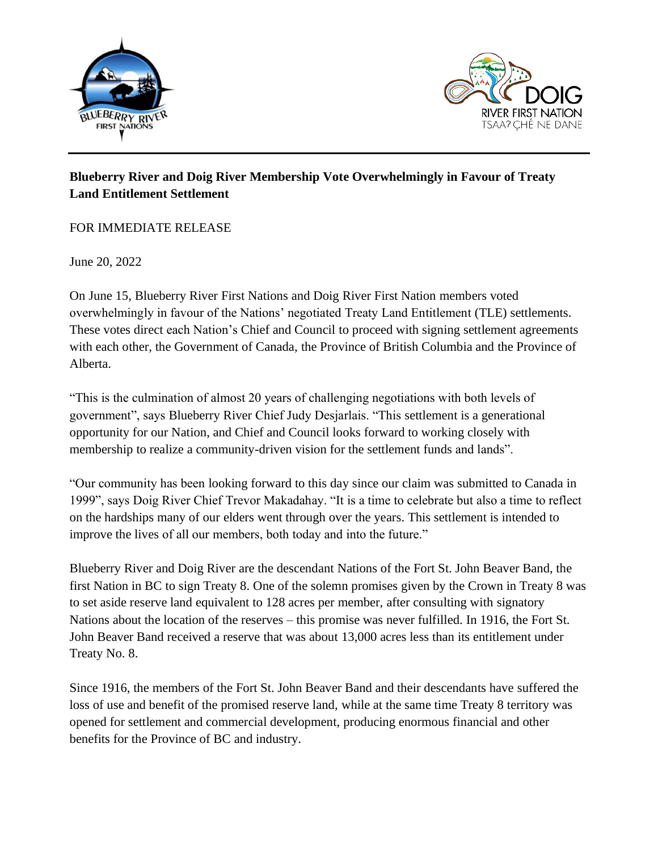



## **Blueberry River and Doig River Membership Vote Overwhelmingly in Favour of Treaty Land Entitlement Settlement**

## FOR IMMEDIATE RELEASE

June 20, 2022

On June 15, Blueberry River First Nations and Doig River First Nation members voted overwhelmingly in favour of the Nations' negotiated Treaty Land Entitlement (TLE) settlements. These votes direct each Nation's Chief and Council to proceed with signing settlement agreements with each other, the Government of Canada, the Province of British Columbia and the Province of Alberta.

"This is the culmination of almost 20 years of challenging negotiations with both levels of government", says Blueberry River Chief Judy Desjarlais. "This settlement is a generational opportunity for our Nation, and Chief and Council looks forward to working closely with membership to realize a community-driven vision for the settlement funds and lands".

"Our community has been looking forward to this day since our claim was submitted to Canada in 1999", says Doig River Chief Trevor Makadahay. "It is a time to celebrate but also a time to reflect on the hardships many of our elders went through over the years. This settlement is intended to improve the lives of all our members, both today and into the future."

Blueberry River and Doig River are the descendant Nations of the Fort St. John Beaver Band, the first Nation in BC to sign Treaty 8. One of the solemn promises given by the Crown in Treaty 8 was to set aside reserve land equivalent to 128 acres per member, after consulting with signatory Nations about the location of the reserves – this promise was never fulfilled. In 1916, the Fort St. John Beaver Band received a reserve that was about 13,000 acres less than its entitlement under Treaty No. 8.

Since 1916, the members of the Fort St. John Beaver Band and their descendants have suffered the loss of use and benefit of the promised reserve land, while at the same time Treaty 8 territory was opened for settlement and commercial development, producing enormous financial and other benefits for the Province of BC and industry.